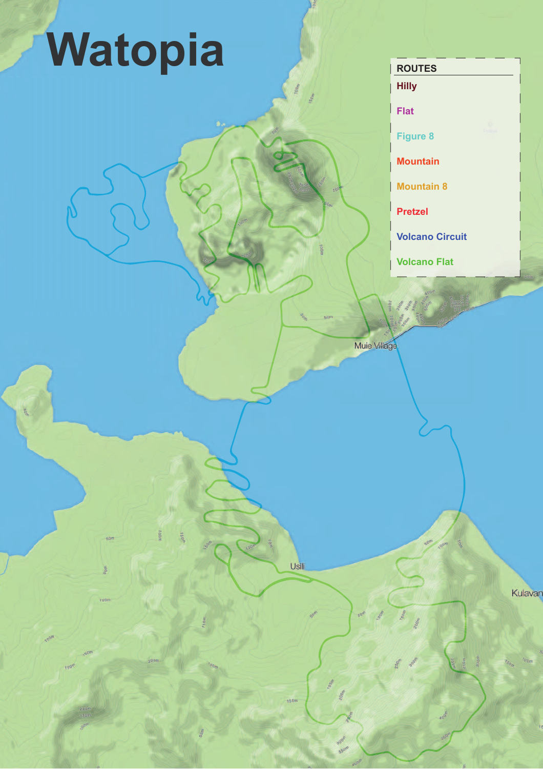### Watopia **Allegerica**

**Flat**

**Hilly**

**Figure 8**

**Mountain**

**Mountain 8**

**Pretzel**

**Volcano Circuit**

**Volcano Flat** 

Muie Village

Usili

150m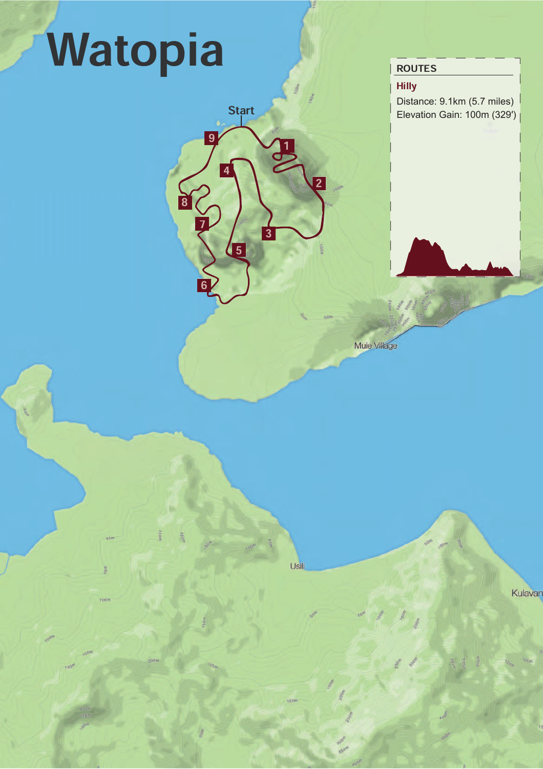Hilly

Distance: 9.1km (5.7 miles) Elevation Gain: 100m (329')



1

Usili

 $\overline{3}$ 

4

**Start** 

 $\overline{9}$ 

5

<u>ხ</u>

 $\frac{1}{2}$ 

8

<u>ے</u>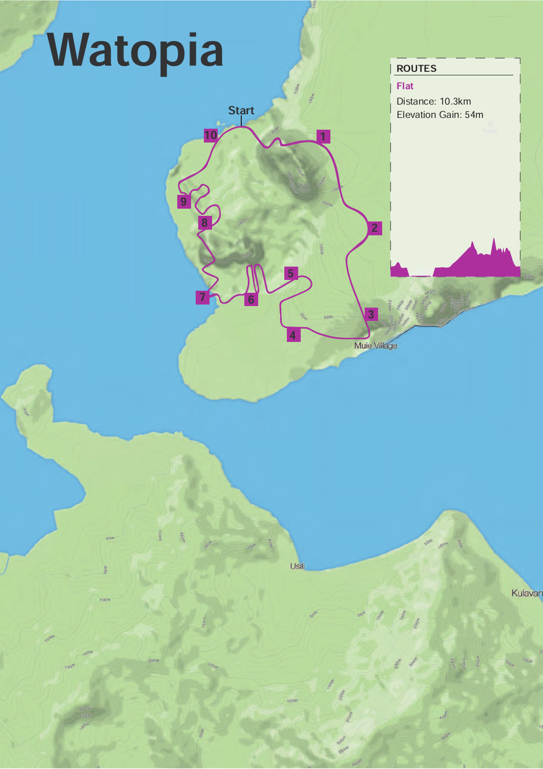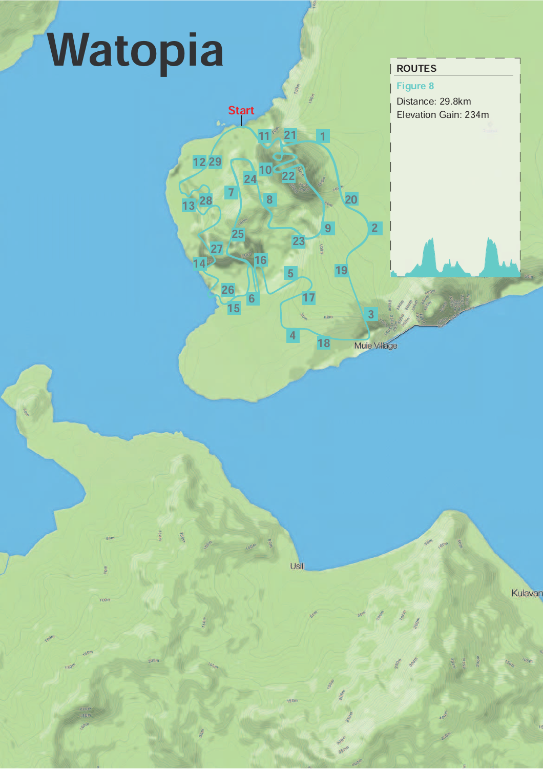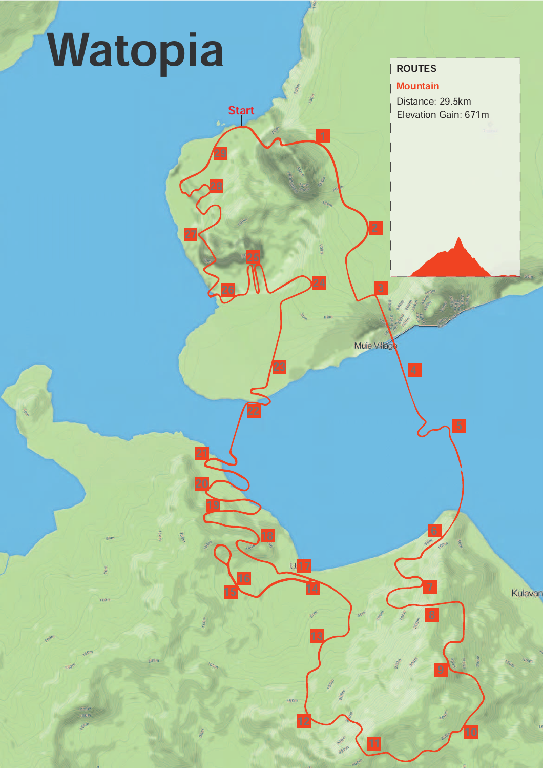**Mountain** 

Distance: 29.5km Elevation Gain: 671m

<u>Ե</u>

7

<u>ដ</u>

<u>ਖ</u>

<sup>12</sup> <sup>10</sup>

13

 $U\sqrt{17}$ 

 $\frac{14}{15}$ 

23

<u>16</u>

19

20

21

Muie Village

<u>ئ</u>

1

24

**Start** 

<u>46</u>

<u>28</u>

<u>יצ</u>

 $2/$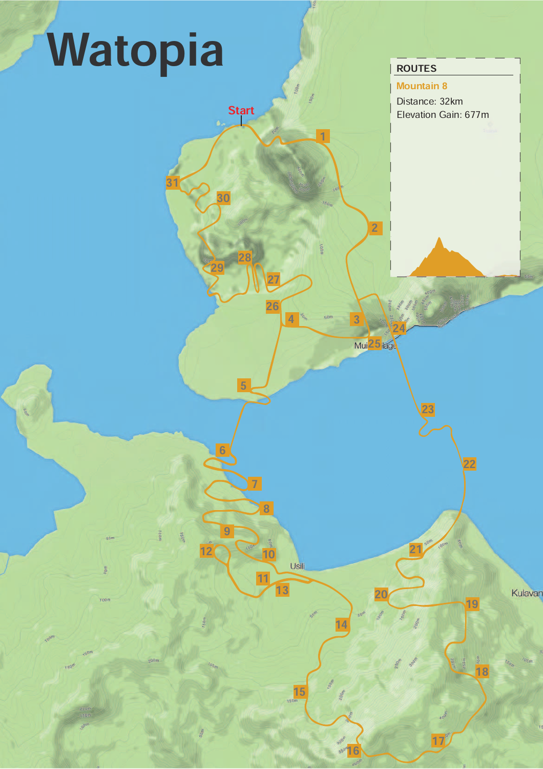1

 $4<sup>o</sup>$ 

26

 $\overline{21}$ 

5

 $\frac{29}{9}$   $\frac{28}{9}$ 

30

31

**Start** 

7

8

11

13

Usili

15

14

 $\frac{1}{16}$   $\frac{17}{16}$ 

 $\frac{20}{19}$ 

21

23

18

Kulavan

22

<u>២</u>

9

 $\frac{12}{10}$   $\frac{12}{10}$ 

2

Mui 25 lage

 $\frac{24}{5}$ 

Mountain 8

Distance: 32km Elevation Gain: 677m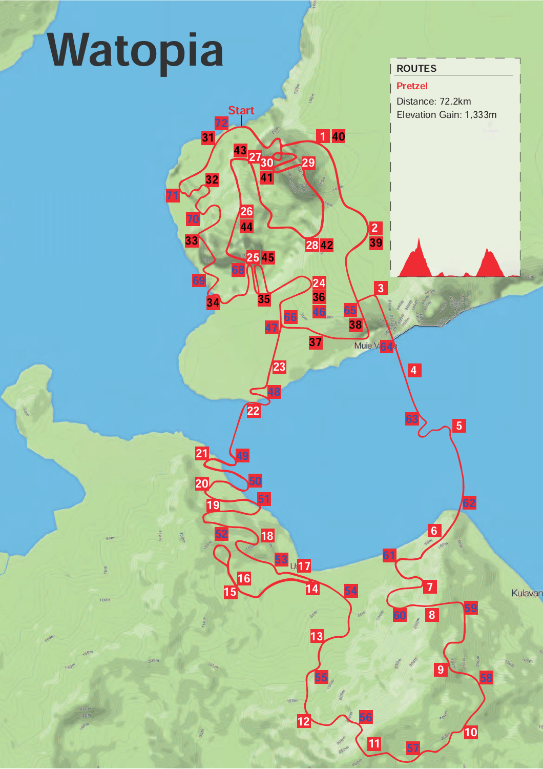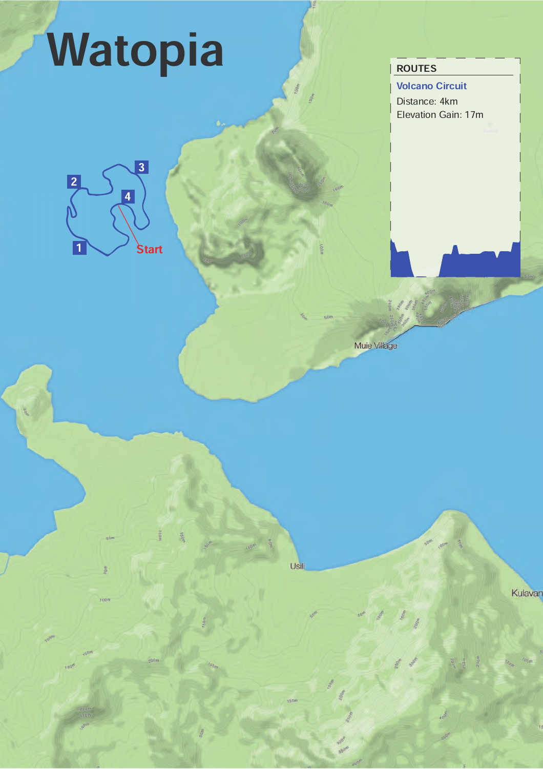Volcano Circuit

Distance: 4km Elevation Gain: 17m





Usili